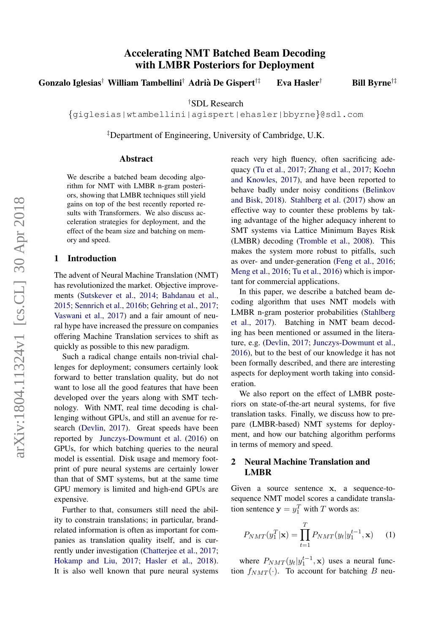# Accelerating NMT Batched Beam Decoding with LMBR Posteriors for Deployment

Gonzalo Iglesias<sup>†</sup> William Tambellini<sup>†</sup> Adrià De Gispert<sup>†‡</sup> Eva Hasler<sup>†</sup> Bill Byrne<sup>†‡</sup>

†SDL Research

{giglesias|wtambellini|agispert|ehasler|bbyrne}@sdl.com

‡Department of Engineering, University of Cambridge, U.K.

#### Abstract

We describe a batched beam decoding algorithm for NMT with LMBR n-gram posteriors, showing that LMBR techniques still yield gains on top of the best recently reported results with Transformers. We also discuss acceleration strategies for deployment, and the effect of the beam size and batching on memory and speed.

### 1 Introduction

The advent of Neural Machine Translation (NMT) has revolutionized the market. Objective improvements [\(Sutskever et al.,](#page-7-0) [2014;](#page-7-0) [Bahdanau et al.,](#page-6-0) [2015;](#page-6-0) [Sennrich et al.,](#page-7-1) [2016b;](#page-7-1) [Gehring et al.,](#page-6-1) [2017;](#page-6-1) [Vaswani et al.,](#page-7-2) [2017\)](#page-7-2) and a fair amount of neural hype have increased the pressure on companies offering Machine Translation services to shift as quickly as possible to this new paradigm.

Such a radical change entails non-trivial challenges for deployment; consumers certainly look forward to better translation quality, but do not want to lose all the good features that have been developed over the years along with SMT technology. With NMT, real time decoding is challenging without GPUs, and still an avenue for research [\(Devlin,](#page-6-2) [2017\)](#page-6-2). Great speeds have been reported by [Junczys-Dowmunt et al.](#page-6-3) [\(2016\)](#page-6-3) on GPUs, for which batching queries to the neural model is essential. Disk usage and memory footprint of pure neural systems are certainly lower than that of SMT systems, but at the same time GPU memory is limited and high-end GPUs are expensive.

Further to that, consumers still need the ability to constrain translations; in particular, brandrelated information is often as important for companies as translation quality itself, and is currently under investigation [\(Chatterjee et al.,](#page-6-4) [2017;](#page-6-4) [Hokamp and Liu,](#page-6-5) [2017;](#page-6-5) [Hasler et al.,](#page-6-6) [2018\)](#page-6-6). It is also well known that pure neural systems

reach very high fluency, often sacrificing adequacy [\(Tu et al.,](#page-7-3) [2017;](#page-7-3) [Zhang et al.,](#page-7-4) [2017;](#page-7-4) [Koehn](#page-6-7) [and Knowles,](#page-6-7) [2017\)](#page-6-7), and have been reported to behave badly under noisy conditions [\(Belinkov](#page-6-8) [and Bisk,](#page-6-8) [2018\)](#page-6-8). [Stahlberg et al.](#page-7-5) [\(2017\)](#page-7-5) show an effective way to counter these problems by taking advantage of the higher adequacy inherent to SMT systems via Lattice Minimum Bayes Risk (LMBR) decoding [\(Tromble et al.,](#page-7-6) [2008\)](#page-7-6). This makes the system more robust to pitfalls, such as over- and under-generation [\(Feng et al.,](#page-6-9) [2016;](#page-6-9) [Meng et al.,](#page-6-10) [2016;](#page-6-10) [Tu et al.,](#page-7-7) [2016\)](#page-7-7) which is important for commercial applications.

In this paper, we describe a batched beam decoding algorithm that uses NMT models with LMBR n-gram posterior probabilities [\(Stahlberg](#page-7-5) [et al.,](#page-7-5) [2017\)](#page-7-5). Batching in NMT beam decoding has been mentioned or assumed in the literature, e.g. [\(Devlin,](#page-6-2) [2017;](#page-6-2) [Junczys-Dowmunt et al.,](#page-6-3) [2016\)](#page-6-3), but to the best of our knowledge it has not been formally described, and there are interesting aspects for deployment worth taking into consideration.

We also report on the effect of LMBR posteriors on state-of-the-art neural systems, for five translation tasks. Finally, we discuss how to prepare (LMBR-based) NMT systems for deployment, and how our batching algorithm performs in terms of memory and speed.

## <span id="page-0-0"></span>2 Neural Machine Translation and LMBR

Given a source sentence x, a sequence-tosequence NMT model scores a candidate translation sentence  $y = y_1^T$  with T words as:

$$
P_{NMT}(y_1^T|\mathbf{x}) = \prod_{t=1}^T P_{NMT}(y_t|y_1^{t-1}, \mathbf{x}) \quad (1)
$$

where  $P_{NMT}(y_t|y_1^{t-1}, \mathbf{x})$  uses a neural function  $f_{NMT}(\cdot)$ . To account for batching B neu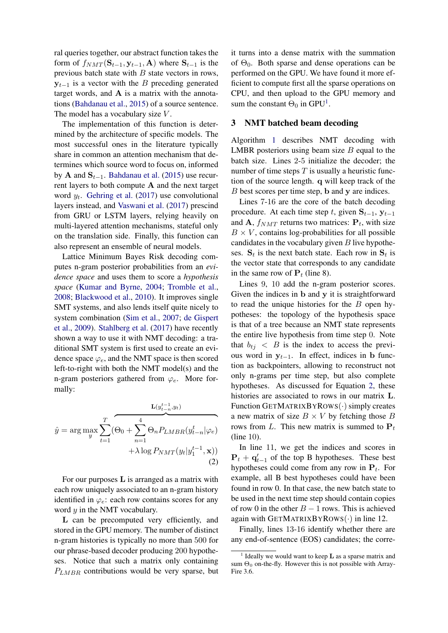ral queries together, our abstract function takes the form of  $f_{NMT}(\mathbf{S}_{t-1}, \mathbf{y}_{t-1}, \mathbf{A})$  where  $\mathbf{S}_{t-1}$  is the previous batch state with  $B$  state vectors in rows,  $y_{t-1}$  is a vector with the B preceding generated target words, and A is a matrix with the annotations [\(Bahdanau et al.,](#page-6-0) [2015\)](#page-6-0) of a source sentence. The model has a vocabulary size  $V$ .

The implementation of this function is determined by the architecture of specific models. The most successful ones in the literature typically share in common an attention mechanism that determines which source word to focus on, informed by A and  $S_{t-1}$ . [Bahdanau et al.](#page-6-0) [\(2015\)](#page-6-0) use recurrent layers to both compute A and the next target word  $y_t$ . [Gehring et al.](#page-6-1) [\(2017\)](#page-6-1) use convolutional layers instead, and [Vaswani et al.](#page-7-2) [\(2017\)](#page-7-2) prescind from GRU or LSTM layers, relying heavily on multi-layered attention mechanisms, stateful only on the translation side. Finally, this function can also represent an ensemble of neural models.

Lattice Minimum Bayes Risk decoding computes n-gram posterior probabilities from an *evidence space* and uses them to score a *hypothesis space* [\(Kumar and Byrne,](#page-6-11) [2004;](#page-6-11) [Tromble et al.,](#page-7-6) [2008;](#page-7-6) [Blackwood et al.,](#page-6-12) [2010\)](#page-6-12). It improves single SMT systems, and also lends itself quite nicely to system combination [\(Sim et al.,](#page-7-8) [2007;](#page-7-8) [de Gispert](#page-6-13) [et al.,](#page-6-13) [2009\)](#page-6-13). [Stahlberg et al.](#page-7-5) [\(2017\)](#page-7-5) have recently shown a way to use it with NMT decoding: a traditional SMT system is first used to create an evidence space  $\varphi_e$ , and the NMT space is then scored left-to-right with both the NMT model(s) and the n-gram posteriors gathered from  $\varphi_e$ . More formally:

<span id="page-1-1"></span>
$$
\hat{y} = \arg \max_{y} \sum_{t=1}^{T} (\Theta_0 + \sum_{n=1}^{4} \Theta_n P_{LMBR}(y_{t-n}^t | \varphi_e) + \lambda \log P_{NMT}(y_t | y_1^{t-1}, \mathbf{x}))
$$
\n(2)

For our purposes L is arranged as a matrix with each row uniquely associated to an n-gram history identified in  $\varphi_e$ : each row contains scores for any word  $y$  in the NMT vocabulary.

L can be precomputed very efficiently, and stored in the GPU memory. The number of distinct n-gram histories is typically no more than 500 for our phrase-based decoder producing 200 hypotheses. Notice that such a matrix only containing  $P_{LMBR}$  contributions would be very sparse, but

it turns into a dense matrix with the summation of  $\Theta_0$ . Both sparse and dense operations can be performed on the GPU. We have found it more efficient to compute first all the sparse operations on CPU, and then upload to the GPU memory and sum the constant  $\Theta_0$  in GPU<sup>[1](#page-1-0)</sup>.

### 3 NMT batched beam decoding

Algorithm [1](#page-2-0) describes NMT decoding with LMBR posteriors using beam size  $B$  equal to the batch size. Lines 2-5 initialize the decoder; the number of time steps  $T$  is usually a heuristic function of the source length. q will keep track of the B best scores per time step, b and y are indices.

Lines 7-16 are the core of the batch decoding procedure. At each time step t, given  $S_{t-1}$ ,  $y_{t-1}$ and A,  $f_{NMT}$  returns two matrices:  $P_t$ , with size  $B \times V$ , contains log-probabilities for all possible candidates in the vocabulary given  $B$  live hypotheses.  $S_t$  is the next batch state. Each row in  $S_t$  is the vector state that corresponds to any candidate in the same row of  $P_t$  (line 8).

Lines 9, 10 add the n-gram posterior scores. Given the indices in b and y it is straightforward to read the unique histories for the  $B$  open hypotheses: the topology of the hypothesis space is that of a tree because an NMT state represents the entire live hypothesis from time step 0. Note that  $b_{t_i} < B$  is the index to access the previous word in  $y_{t-1}$ . In effect, indices in b function as backpointers, allowing to reconstruct not only n-grams per time step, but also complete hypotheses. As discussed for Equation [2,](#page-1-1) these histories are associated to rows in our matrix L. Function GETMATRIXBYROWS(·) simply creates a new matrix of size  $B \times V$  by fetching those B rows from L. This new matrix is summed to  $P_t$ (line 10).

In line 11, we get the indices and scores in  $P_t + q'_{t-1}$  of the top B hypotheses. These best hypotheses could come from any row in  $P_t$ . For example, all B best hypotheses could have been found in row 0. In that case, the new batch state to be used in the next time step should contain copies of row 0 in the other  $B - 1$  rows. This is achieved again with GETMATRIXBYROWS $(\cdot)$  in line 12.

Finally, lines 13-16 identify whether there are any end-of-sentence (EOS) candidates; the corre-

<span id="page-1-0"></span><sup>&</sup>lt;sup>1</sup> Ideally we would want to keep **L** as a sparse matrix and sum  $\Theta_0$  on-the-fly. However this is not possible with Array-Fire 3.6.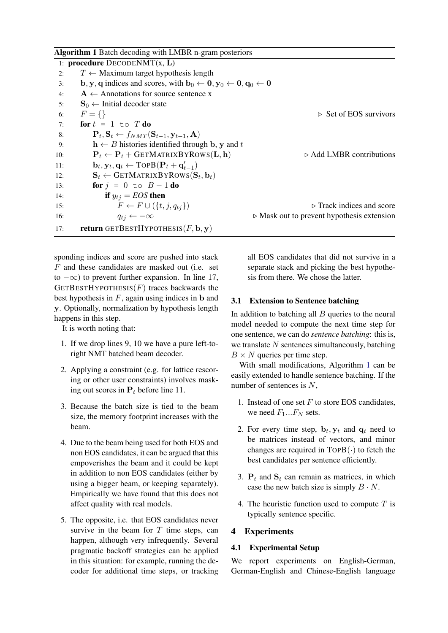<span id="page-2-0"></span>

sponding indices and score are pushed into stack F and these candidates are masked out (i.e. set to  $-\infty$ ) to prevent further expansion. In line 17, GETBESTHYPOTHESIS $(F)$  traces backwards the best hypothesis in  $F$ , again using indices in b and y. Optionally, normalization by hypothesis length happens in this step.

It is worth noting that:

- 1. If we drop lines 9, 10 we have a pure left-toright NMT batched beam decoder.
- 2. Applying a constraint (e.g. for lattice rescoring or other user constraints) involves masking out scores in  $P_t$  before line 11.
- 3. Because the batch size is tied to the beam size, the memory footprint increases with the beam.
- 4. Due to the beam being used for both EOS and non EOS candidates, it can be argued that this empoverishes the beam and it could be kept in addition to non EOS candidates (either by using a bigger beam, or keeping separately). Empirically we have found that this does not affect quality with real models.
- 5. The opposite, i.e. that EOS candidates never survive in the beam for  $T$  time steps, can happen, although very infrequently. Several pragmatic backoff strategies can be applied in this situation: for example, running the decoder for additional time steps, or tracking

all EOS candidates that did not survive in a separate stack and picking the best hypothesis from there. We chose the latter.

### <span id="page-2-1"></span>3.1 Extension to Sentence batching

In addition to batching all  $B$  queries to the neural model needed to compute the next time step for one sentence, we can do *sentence batching*: this is, we translate  $N$  sentences simultaneously, batching  $B \times N$  queries per time step.

With small modifications, Algorithm [1](#page-2-0) can be easily extended to handle sentence batching. If the number of sentences is N,

- 1. Instead of one set  $F$  to store EOS candidates, we need  $F_1...F_N$  sets.
- 2. For every time step,  $\mathbf{b}_t$ ,  $\mathbf{y}_t$  and  $\mathbf{q}_t$  need to be matrices instead of vectors, and minor changes are required in TOPB(·) to fetch the best candidates per sentence efficiently.
- 3.  $P_t$  and  $S_t$  can remain as matrices, in which case the new batch size is simply  $B \cdot N$ .
- 4. The heuristic function used to compute  $T$  is typically sentence specific.

# 4 Experiments

# 4.1 Experimental Setup

We report experiments on English-German, German-English and Chinese-English language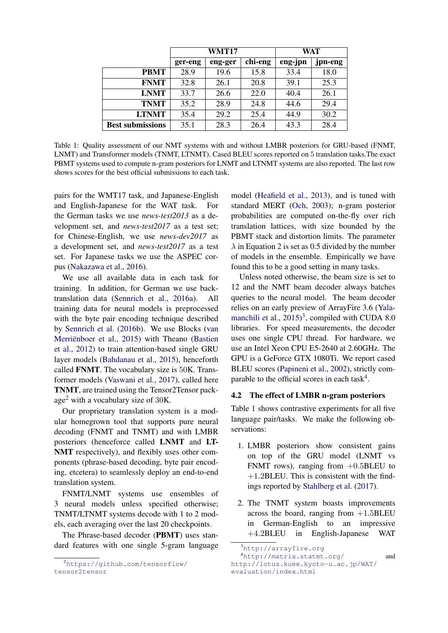|                         | WMT17   |         |         | WAT     |         |
|-------------------------|---------|---------|---------|---------|---------|
|                         | ger-eng | eng-ger | chi-eng | eng-jpn | jpn-eng |
| <b>PBMT</b>             | 28.9    | 19.6    | 15.8    | 33.4    | 18.0    |
| <b>FNMT</b>             | 32.8    | 26.1    | 20.8    | 39.1    | 25.3    |
| <b>LNMT</b>             | 33.7    | 26.6    | 22.0    | 40.4    | 26.1    |
| <b>TNMT</b>             | 35.2    | 28.9    | 24.8    | 44.6    | 29.4    |
| <b>LTNMT</b>            | 35.4    | 29.2    | 25.4    | 44.9    | 30.2    |
| <b>Best submissions</b> | 35.1    | 28.3    | 26.4    | 43.3    | 28.4    |

<span id="page-3-3"></span>Table 1: Quality assessment of our NMT systems with and without LMBR posteriors for GRU-based (FNMT, LNMT) and Transformer models (TNMT, LTNMT). Cased BLEU scores reported on 5 translation tasks.The exact PBMT systems used to compute n-gram posteriors for LNMT and LTNMT systems are also reported. The last row shows scores for the best official submissions to each task.

pairs for the WMT17 task, and Japanese-English and English-Japanese for the WAT task. For the German tasks we use *news-test2013* as a development set, and *news-test2017* as a test set; for Chinese-English, we use *news-dev2017* as a development set, and *news-test2017* as a test set. For Japanese tasks we use the ASPEC corpus [\(Nakazawa et al.,](#page-7-9) [2016\)](#page-7-9).

We use all available data in each task for training. In addition, for German we use backtranslation data [\(Sennrich et al.,](#page-7-10) [2016a\)](#page-7-10). All training data for neural models is preprocessed with the byte pair encoding technique described by [Sennrich et al.](#page-7-1) [\(2016b\)](#page-7-1). We use Blocks [\(van](#page-7-11) Merriënboer et al., [2015\)](#page-7-11) with Theano [\(Bastien](#page-6-14) [et al.,](#page-6-14) [2012\)](#page-6-14) to train attention-based single GRU layer models [\(Bahdanau et al.,](#page-6-0) [2015\)](#page-6-0), henceforth called FNMT. The vocabulary size is 50K. Transformer models [\(Vaswani et al.,](#page-7-2) [2017\)](#page-7-2), called here TNMT, are trained using the Tensor2Tensor pack-age<sup>[2](#page-3-0)</sup> with a vocabulary size of  $30K$ .

Our proprietary translation system is a modular homegrown tool that supports pure neural decoding (FNMT and TNMT) and with LMBR posteriors (henceforce called LNMT and LT-NMT respectively), and flexibly uses other components (phrase-based decoding, byte pair encoding, etcetera) to seamlessly deploy an end-to-end translation system.

FNMT/LNMT systems use ensembles of 3 neural models unless specified otherwise; TNMT/LTNMT systems decode with 1 to 2 models, each averaging over the last 20 checkpoints.

The Phrase-based decoder (PBMT) uses standard features with one single 5-gram language

model [\(Heafield et al.,](#page-6-15) [2013\)](#page-6-15), and is tuned with standard MERT [\(Och,](#page-7-12) [2003\)](#page-7-12); n-gram posterior probabilities are computed on-the-fly over rich translation lattices, with size bounded by the PBMT stack and distortion limits. The parameter  $\lambda$  in Equation [2](#page-1-1) is set as 0.5 divided by the number of models in the ensemble. Empirically we have found this to be a good setting in many tasks.

Unless noted otherwise, the beam size is set to 12 and the NMT beam decoder always batches queries to the neural model. The beam decoder relies on an early preview of ArrayFire 3.6 [\(Yala](#page-7-13)[manchili et al.,](#page-7-13)  $2015$ <sup>[3](#page-3-1)</sup>, compiled with CUDA 8.0 libraries. For speed measurements, the decoder uses one single CPU thread. For hardware, we use an Intel Xeon CPU E5-2640 at 2.60GHz. The GPU is a GeForce GTX 1080Ti. We report cased BLEU scores [\(Papineni et al.,](#page-7-14) [2002\)](#page-7-14), strictly com-parable to the official scores in each task<sup>[4](#page-3-2)</sup>.

# 4.2 The effect of LMBR n-gram posteriors

Table [1](#page-3-3) shows contrastive experiments for all five language pair/tasks. We make the following observations:

- 1. LMBR posteriors show consistent gains on top of the GRU model (LNMT vs FNMT rows), ranging from  $+0.5$ BLEU to  $+1.2$ BLEU. This is consistent with the findings reported by [Stahlberg et al.](#page-7-5) [\(2017\)](#page-7-5).
- 2. The TNMT system boasts improvements across the board, ranging from  $+1.5$ BLEU in German-English to an impressive +4.2BLEU in English-Japanese WAT

<span id="page-3-0"></span><sup>2</sup>[https://github.com/tensorflow/](https://github.com/tensorflow/tensor2tensor) [tensor2tensor](https://github.com/tensorflow/tensor2tensor)

<span id="page-3-2"></span><span id="page-3-1"></span><sup>3</sup><http://arrayfire.org>

<sup>4</sup><http://matrix.statmt.org/> and [http://lotus.kuee.kyoto-u.ac.jp/WAT/](http://lotus.kuee.kyoto-u.ac.jp/WAT/evaluation/index.html) [evaluation/index.html](http://lotus.kuee.kyoto-u.ac.jp/WAT/evaluation/index.html)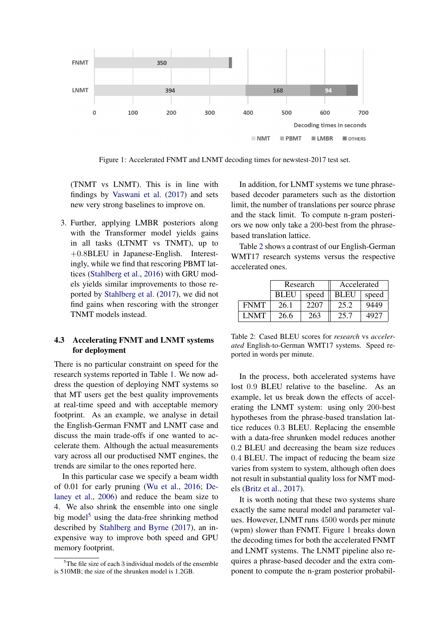

Figure 1: Accelerated FNMT and LNMT decoding times for newstest-2017 test set.

(TNMT vs LNMT). This is in line with findings by [Vaswani et al.](#page-7-2) [\(2017\)](#page-7-2) and sets new very strong baselines to improve on.

3. Further, applying LMBR posteriors along with the Transformer model yields gains in all tasks (LTNMT vs TNMT), up to +0.8BLEU in Japanese-English. Interestingly, while we find that rescoring PBMT lattices [\(Stahlberg et al.,](#page-7-15) [2016\)](#page-7-15) with GRU models yields similar improvements to those reported by [Stahlberg et al.](#page-7-5) [\(2017\)](#page-7-5), we did not find gains when rescoring with the stronger TNMT models instead.

# 4.3 Accelerating FNMT and LNMT systems for deployment

There is no particular constraint on speed for the research systems reported in Table [1.](#page-3-3) We now address the question of deploying NMT systems so that MT users get the best quality improvements at real-time speed and with acceptable memory footprint. As an example, we analyse in detail the English-German FNMT and LNMT case and discuss the main trade-offs if one wanted to accelerate them. Although the actual measurements vary across all our productised NMT engines, the trends are similar to the ones reported here.

In this particular case we specify a beam width of 0.01 for early pruning [\(Wu et al.,](#page-7-16) [2016;](#page-7-16) [De](#page-6-16)[laney et al.,](#page-6-16) [2006\)](#page-6-16) and reduce the beam size to 4. We also shrink the ensemble into one single big model<sup>[5](#page-4-0)</sup> using the data-free shrinking method described by [Stahlberg and Byrne](#page-7-17) [\(2017\)](#page-7-17), an inexpensive way to improve both speed and GPU memory footprint.

<span id="page-4-2"></span>In addition, for LNMT systems we tune phrasebased decoder parameters such as the distortion limit, the number of translations per source phrase and the stack limit. To compute n-gram posteriors we now only take a 200-best from the phrasebased translation lattice.

Table [2](#page-4-1) shows a contrast of our English-German WMT17 research systems versus the respective accelerated ones.

|             | Research    |       | Accelerated |       |  |
|-------------|-------------|-------|-------------|-------|--|
|             | <b>BLEU</b> | speed | <b>BLEU</b> | speed |  |
| <b>FNMT</b> | 26.1        | 2207  | 25.2        | 9449  |  |
| <b>LNMT</b> | 26.6        | 263   | 25.7        | 4927  |  |

<span id="page-4-1"></span>Table 2: Cased BLEU scores for *research* vs *accelerated* English-to-German WMT17 systems. Speed reported in words per minute.

In the process, both accelerated systems have lost 0.9 BLEU relative to the baseline. As an example, let us break down the effects of accelerating the LNMT system: using only 200-best hypotheses from the phrase-based translation lattice reduces 0.3 BLEU. Replacing the ensemble with a data-free shrunken model reduces another 0.2 BLEU and decreasing the beam size reduces 0.4 BLEU. The impact of reducing the beam size varies from system to system, although often does not result in substantial quality loss for NMT models [\(Britz et al.,](#page-6-17) [2017\)](#page-6-17).

It is worth noting that these two systems share exactly the same neural model and parameter values. However, LNMT runs 4500 words per minute (wpm) slower than FNMT. Figure [1](#page-4-2) breaks down the decoding times for both the accelerated FNMT and LNMT systems. The LNMT pipeline also requires a phrase-based decoder and the extra component to compute the n-gram posterior probabil-

<span id="page-4-0"></span> $5$ The file size of each 3 individual models of the ensemble is 510MB; the size of the shrunken model is 1.2GB.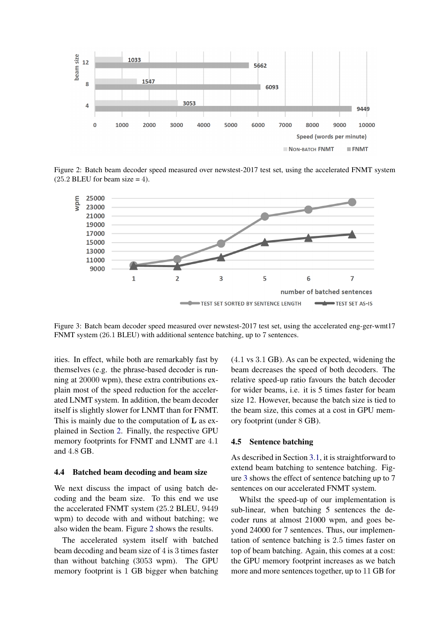

Figure 2: Batch beam decoder speed measured over newstest-2017 test set, using the accelerated FNMT system  $(25.2$  BLEU for beam size = 4).



Figure 3: Batch beam decoder speed measured over newstest-2017 test set, using the accelerated eng-ger-wmt17 FNMT system (26.1 BLEU) with additional sentence batching, up to 7 sentences.

ities. In effect, while both are remarkably fast by themselves (e.g. the phrase-based decoder is running at 20000 wpm), these extra contributions explain most of the speed reduction for the accelerated LNMT system. In addition, the beam decoder itself is slightly slower for LNMT than for FNMT. This is mainly due to the computation of L as explained in Section [2.](#page-0-0) Finally, the respective GPU memory footprints for FNMT and LNMT are 4.1 and 4.8 GB.

### 4.4 Batched beam decoding and beam size

We next discuss the impact of using batch decoding and the beam size. To this end we use the accelerated FNMT system (25.2 BLEU, 9449 wpm) to decode with and without batching; we also widen the beam. Figure [2](#page-5-0) shows the results.

The accelerated system itself with batched beam decoding and beam size of 4 is 3 times faster than without batching (3053 wpm). The GPU memory footprint is 1 GB bigger when batching <span id="page-5-1"></span><span id="page-5-0"></span>(4.1 vs 3.1 GB). As can be expected, widening the beam decreases the speed of both decoders. The relative speed-up ratio favours the batch decoder for wider beams, i.e. it is 5 times faster for beam size 12. However, because the batch size is tied to the beam size, this comes at a cost in GPU memory footprint (under 8 GB).

### 4.5 Sentence batching

As described in Section [3.1,](#page-2-1) it is straightforward to extend beam batching to sentence batching. Figure [3](#page-5-1) shows the effect of sentence batching up to 7 sentences on our accelerated FNMT system.

Whilst the speed-up of our implementation is sub-linear, when batching 5 sentences the decoder runs at almost 21000 wpm, and goes beyond 24000 for 7 sentences. Thus, our implementation of sentence batching is 2.5 times faster on top of beam batching. Again, this comes at a cost: the GPU memory footprint increases as we batch more and more sentences together, up to 11 GB for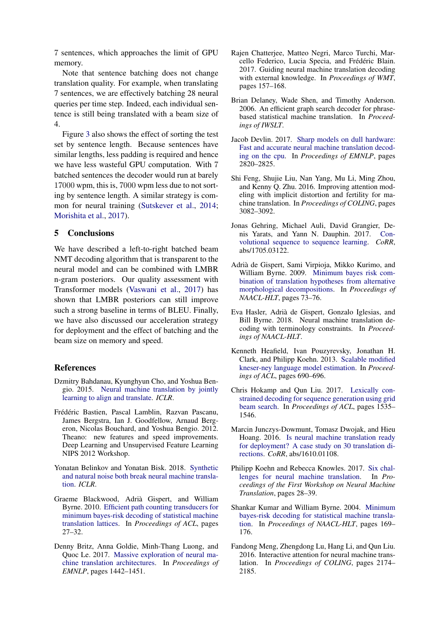7 sentences, which approaches the limit of GPU memory.

Note that sentence batching does not change translation quality. For example, when translating 7 sentences, we are effectively batching 28 neural queries per time step. Indeed, each individual sentence is still being translated with a beam size of 4.

Figure [3](#page-5-1) also shows the effect of sorting the test set by sentence length. Because sentences have similar lengths, less padding is required and hence we have less wasteful GPU computation. With 7 batched sentences the decoder would run at barely 17000 wpm, this is, 7000 wpm less due to not sorting by sentence length. A similar strategy is common for neural training [\(Sutskever et al.,](#page-7-0) [2014;](#page-7-0) [Morishita et al.,](#page-7-18) [2017\)](#page-7-18).

### 5 Conclusions

We have described a left-to-right batched beam NMT decoding algorithm that is transparent to the neural model and can be combined with LMBR n-gram posteriors. Our quality assessment with Transformer models [\(Vaswani et al.,](#page-7-2) [2017\)](#page-7-2) has shown that LMBR posteriors can still improve such a strong baseline in terms of BLEU. Finally, we have also discussed our acceleration strategy for deployment and the effect of batching and the beam size on memory and speed.

#### **References**

- <span id="page-6-0"></span>Dzmitry Bahdanau, Kyunghyun Cho, and Yoshua Bengio. 2015. [Neural machine translation by jointly](https://arxiv.org/abs/1409.0473) [learning to align and translate.](https://arxiv.org/abs/1409.0473) *ICLR*.
- <span id="page-6-14"></span>Frédéric Bastien, Pascal Lamblin, Razvan Pascanu, James Bergstra, Ian J. Goodfellow, Arnaud Bergeron, Nicolas Bouchard, and Yoshua Bengio. 2012. Theano: new features and speed improvements. Deep Learning and Unsupervised Feature Learning NIPS 2012 Workshop.
- <span id="page-6-8"></span>Yonatan Belinkov and Yonatan Bisk. 2018. [Synthetic](https://openreview.net/forum?id=BJ8vJebC-) [and natural noise both break neural machine transla](https://openreview.net/forum?id=BJ8vJebC-)[tion.](https://openreview.net/forum?id=BJ8vJebC-) *ICLR*.
- <span id="page-6-12"></span>Graeme Blackwood, Adria Gispert, and William ` Byrne. 2010. [Efficient path counting transducers for](http://www.aclweb.org/anthology/P10-2006) [minimum bayes-risk decoding of statistical machine](http://www.aclweb.org/anthology/P10-2006) [translation lattices.](http://www.aclweb.org/anthology/P10-2006) In *Proceedings of ACL*, pages 27–32.
- <span id="page-6-17"></span>Denny Britz, Anna Goldie, Minh-Thang Luong, and Quoc Le. 2017. [Massive exploration of neural ma](https://www.aclweb.org/anthology/D17-1151)[chine translation architectures.](https://www.aclweb.org/anthology/D17-1151) In *Proceedings of EMNLP*, pages 1442–1451.
- <span id="page-6-4"></span>Rajen Chatterjee, Matteo Negri, Marco Turchi, Marcello Federico, Lucia Specia, and Frédéric Blain. 2017. Guiding neural machine translation decoding with external knowledge. In *Proceedings of WMT*, pages 157–168.
- <span id="page-6-16"></span>Brian Delaney, Wade Shen, and Timothy Anderson. 2006. An efficient graph search decoder for phrasebased statistical machine translation. In *Proceedings of IWSLT*.
- <span id="page-6-2"></span>Jacob Devlin. 2017. [Sharp models on dull hardware:](https://www.aclweb.org/anthology/D17-1300) [Fast and accurate neural machine translation decod](https://www.aclweb.org/anthology/D17-1300)[ing on the cpu.](https://www.aclweb.org/anthology/D17-1300) In *Proceedings of EMNLP*, pages 2820–2825.
- <span id="page-6-9"></span>Shi Feng, Shujie Liu, Nan Yang, Mu Li, Ming Zhou, and Kenny Q. Zhu. 2016. Improving attention modeling with implicit distortion and fertility for machine translation. In *Proceedings of COLING*, pages 3082–3092.
- <span id="page-6-1"></span>Jonas Gehring, Michael Auli, David Grangier, Denis Yarats, and Yann N. Dauphin. 2017. [Con](http://arxiv.org/abs/1705.03122)[volutional sequence to sequence learning.](http://arxiv.org/abs/1705.03122) *CoRR*, abs/1705.03122.
- <span id="page-6-13"></span>Adria de Gispert, Sami Virpioja, Mikko Kurimo, and ` William Byrne. 2009. [Minimum bayes risk com](http://www.aclweb.org/anthology/N/N09/N09-2019)[bination of translation hypotheses from alternative](http://www.aclweb.org/anthology/N/N09/N09-2019) [morphological decompositions.](http://www.aclweb.org/anthology/N/N09/N09-2019) In *Proceedings of NAACL-HLT*, pages 73–76.
- <span id="page-6-6"></span>Eva Hasler, Adria de Gispert, Gonzalo Iglesias, and ` Bill Byrne. 2018. Neural machine translation decoding with terminology constraints. In *Proceedings of NAACL-HLT*.
- <span id="page-6-15"></span>Kenneth Heafield, Ivan Pouzyrevsky, Jonathan H. Clark, and Philipp Koehn. 2013. [Scalable modified](http://www.aclweb.org/anthology/P13-2121) [kneser-ney language model estimation.](http://www.aclweb.org/anthology/P13-2121) In *Proceedings of ACL*, pages 690–696.
- <span id="page-6-5"></span>Chris Hokamp and Qun Liu. 2017. [Lexically con](http://aclweb.org/anthology/P17-1141)[strained decoding for sequence generation using grid](http://aclweb.org/anthology/P17-1141) [beam search.](http://aclweb.org/anthology/P17-1141) In *Proceedings of ACL*, pages 1535– 1546.
- <span id="page-6-3"></span>Marcin Junczys-Dowmunt, Tomasz Dwojak, and Hieu Hoang. 2016. [Is neural machine translation ready](http://arxiv.org/abs/1610.01108) [for deployment? A case study on 30 translation di](http://arxiv.org/abs/1610.01108)[rections.](http://arxiv.org/abs/1610.01108) *CoRR*, abs/1610.01108.
- <span id="page-6-7"></span>Philipp Koehn and Rebecca Knowles. 2017. [Six chal](http://www.aclweb.org/anthology/W17-3204)[lenges for neural machine translation.](http://www.aclweb.org/anthology/W17-3204) In *Proceedings of the First Workshop on Neural Machine Translation*, pages 28–39.
- <span id="page-6-11"></span>Shankar Kumar and William Byrne. 2004. [Minimum](http://www.aclweb.org/anthology/N04-1022) [bayes-risk decoding for statistical machine transla](http://www.aclweb.org/anthology/N04-1022)[tion.](http://www.aclweb.org/anthology/N04-1022) In *Proceedings of NAACL-HLT*, pages 169– 176.
- <span id="page-6-10"></span>Fandong Meng, Zhengdong Lu, Hang Li, and Qun Liu. 2016. Interactive attention for neural machine translation. In *Proceedings of COLING*, pages 2174– 2185.